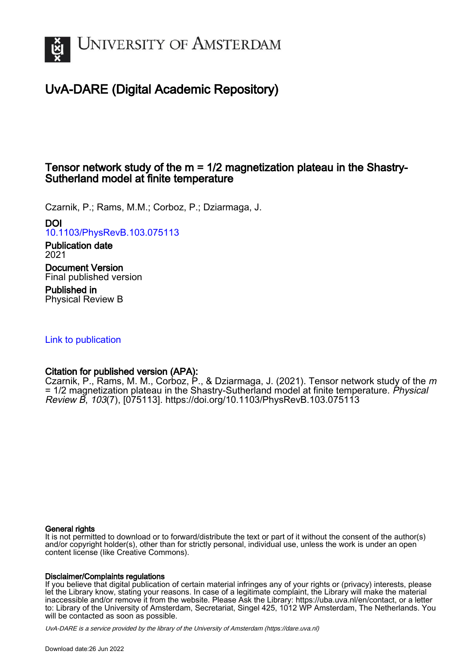

# UvA-DARE (Digital Academic Repository)

# Tensor network study of the m = 1/2 magnetization plateau in the Shastry-Sutherland model at finite temperature

Czarnik, P.; Rams, M.M.; Corboz, P.; Dziarmaga, J.

# DOI

[10.1103/PhysRevB.103.075113](https://doi.org/10.1103/PhysRevB.103.075113)

# Publication date

2021

Document Version Final published version

Published in Physical Review B

## [Link to publication](https://dare.uva.nl/personal/pure/en/publications/tensor-network-study-of-the-m--12-magnetization-plateau-in-the-shastrysutherland-model-at-finite-temperature(9c42518c-c8fc-4272-8e7f-911cc1fb4d6a).html)

# Citation for published version (APA):

Czarnik, P., Rams, M. M., Corboz, P., & Dziarmaga, J. (2021). Tensor network study of the *m* = 1/2 magnetization plateau in the Shastry-Sutherland model at finite temperature. Physical Review B, 103(7), [075113]. <https://doi.org/10.1103/PhysRevB.103.075113>

### General rights

It is not permitted to download or to forward/distribute the text or part of it without the consent of the author(s) and/or copyright holder(s), other than for strictly personal, individual use, unless the work is under an open content license (like Creative Commons).

### Disclaimer/Complaints regulations

If you believe that digital publication of certain material infringes any of your rights or (privacy) interests, please let the Library know, stating your reasons. In case of a legitimate complaint, the Library will make the material inaccessible and/or remove it from the website. Please Ask the Library: https://uba.uva.nl/en/contact, or a letter to: Library of the University of Amsterdam, Secretariat, Singel 425, 1012 WP Amsterdam, The Netherlands. You will be contacted as soon as possible.

UvA-DARE is a service provided by the library of the University of Amsterdam (http*s*://dare.uva.nl)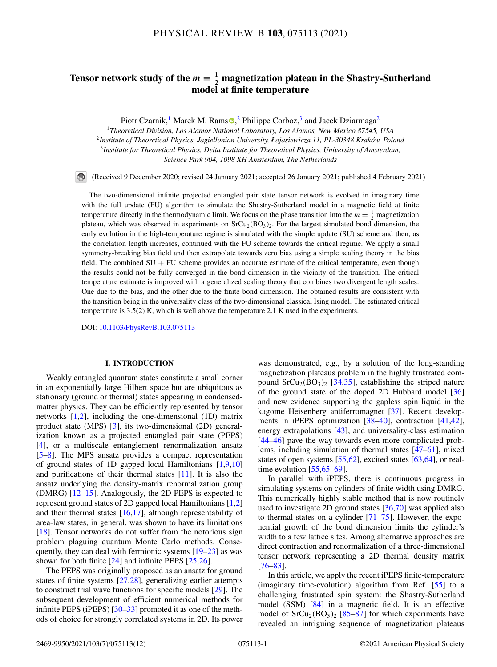# Tensor network study of the  $m = \frac{1}{2}$  magnetization plateau in the Shastry-Sutherland **model at finite temperature**

Piotr Czarnik[,](https://orcid.org/0000-0002-1235-7758)<sup>1</sup> Marek M. Rams .<sup>2</sup> Philippe Corboz,<sup>3</sup> and Jacek Dziarmaga<sup>2</sup>

*Theoretical Division, Los Alamos National Laboratory, Los Alamos, New Mexico 87545, USA Institute of Theoretical Physics, Jagiellonian University, Łojasiewicza 11, PL-30348 Kraków, Poland Institute for Theoretical Physics, Delta Institute for Theoretical Physics, University of Amsterdam, Science Park 904, 1098 XH Amsterdam, The Netherlands*

(Received 9 December 2020; revised 24 January 2021; accepted 26 January 2021; published 4 February 2021)

The two-dimensional infinite projected entangled pair state tensor network is evolved in imaginary time with the full update (FU) algorithm to simulate the Shastry-Sutherland model in a magnetic field at finite temperature directly in the thermodynamic limit. We focus on the phase transition into the  $m = \frac{1}{2}$  magnetization plateau, which was observed in experiments on  $SrCu_2(BO_3)_2$ . For the largest simulated bond dimension, the early evolution in the high-temperature regime is simulated with the simple update (SU) scheme and then, as the correlation length increases, continued with the FU scheme towards the critical regime. We apply a small symmetry-breaking bias field and then extrapolate towards zero bias using a simple scaling theory in the bias field. The combined SU + FU scheme provides an accurate estimate of the critical temperature, even though the results could not be fully converged in the bond dimension in the vicinity of the transition. The critical temperature estimate is improved with a generalized scaling theory that combines two divergent length scales: One due to the bias, and the other due to the finite bond dimension. The obtained results are consistent with the transition being in the universality class of the two-dimensional classical Ising model. The estimated critical temperature is 3.5(2) K, which is well above the temperature 2.1 K used in the experiments.

DOI: [10.1103/PhysRevB.103.075113](https://doi.org/10.1103/PhysRevB.103.075113)

#### **I. INTRODUCTION**

Weakly entangled quantum states constitute a small corner in an exponentially large Hilbert space but are ubiquitous as stationary (ground or thermal) states appearing in condensedmatter physics. They can be efficiently represented by tensor networks [\[1,2\]](#page-9-0), including the one-dimensional (1D) matrix product state (MPS) [\[3\]](#page-9-0), its two-dimensional (2D) generalization known as a projected entangled pair state (PEPS) [\[4\]](#page-9-0), or a multiscale entanglement renormalization ansatz [\[5–8\]](#page-9-0). The MPS ansatz provides a compact representation of ground states of 1D gapped local Hamiltonians [\[1,9,10\]](#page-9-0) and purifications of their thermal states [\[11\]](#page-9-0). It is also the ansatz underlying the density-matrix renormalization group (DMRG) [\[12–15\]](#page-9-0). Analogously, the 2D PEPS is expected to represent ground states of 2D gapped local Hamiltonians [\[1,2\]](#page-9-0) and their thermal states  $[16,17]$ , although representability of area-law states, in general, was shown to have its limitations [\[18\]](#page-9-0). Tensor networks do not suffer from the notorious sign problem plaguing quantum Monte Carlo methods. Consequently, they can deal with fermionic systems [\[19–23\]](#page-9-0) as was shown for both finite [\[24\]](#page-9-0) and infinite PEPS [\[25,26\]](#page-9-0).

The PEPS was originally proposed as an ansatz for ground states of finite systems [\[27,28\]](#page-9-0), generalizing earlier attempts to construct trial wave functions for specific models [\[29\]](#page-9-0). The subsequent development of efficient numerical methods for infinite PEPS (iPEPS) [\[30–33\]](#page-9-0) promoted it as one of the methods of choice for strongly correlated systems in 2D. Its power

was demonstrated, e.g., by a solution of the long-standing magnetization plateaus problem in the highly frustrated compound  $SrCu<sub>2</sub>(BO<sub>3</sub>)<sub>2</sub>$  [\[34,35\]](#page-9-0), establishing the striped nature of the ground state of the doped 2D Hubbard model [\[36\]](#page-9-0) and new evidence supporting the gapless spin liquid in the kagome Heisenberg antiferromagnet [\[37\]](#page-9-0). Recent develop-ments in iPEPS optimization [\[38–](#page-9-0)[40\]](#page-10-0), contraction [\[41,42\]](#page-10-0), energy extrapolations [\[43\]](#page-10-0), and universality-class estimation [\[44–46\]](#page-10-0) pave the way towards even more complicated problems, including simulation of thermal states [\[47–61\]](#page-10-0), mixed states of open systems [\[55,62\]](#page-10-0), excited states [\[63,64\]](#page-10-0), or realtime evolution  $[55,65-69]$ .

In parallel with iPEPS, there is continuous progress in simulating systems on cylinders of finite width using DMRG. This numerically highly stable method that is now routinely used to investigate 2D ground states [\[36,](#page-9-0)[70\]](#page-10-0) was applied also to thermal states on a cylinder [\[71](#page-10-0)[–75\]](#page-11-0). However, the exponential growth of the bond dimension limits the cylinder's width to a few lattice sites. Among alternative approaches are direct contraction and renormalization of a three-dimensional tensor network representing a 2D thermal density matrix  $[76-83]$ .

In this article, we apply the recent iPEPS finite-temperature (imaginary time-evolution) algorithm from Ref. [\[55\]](#page-10-0) to a challenging frustrated spin system: the Shastry-Sutherland model (SSM) [\[84\]](#page-11-0) in a magnetic field. It is an effective model of  $SrCu<sub>2</sub>(BO<sub>3</sub>)<sub>2</sub>$  [\[85–87\]](#page-11-0) for which experiments have revealed an intriguing sequence of magnetization plateaus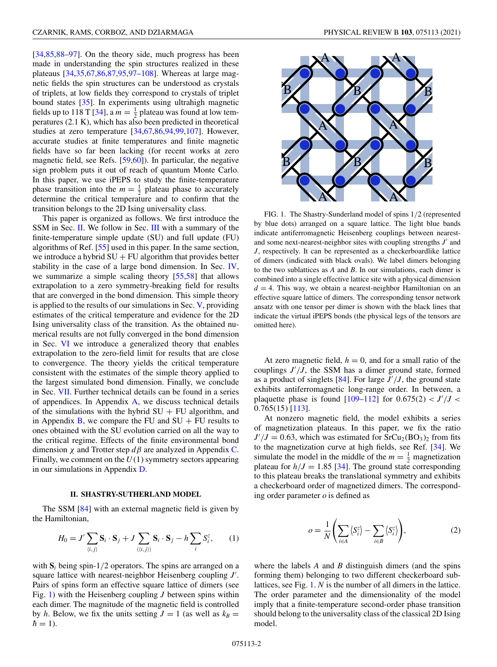<span id="page-2-0"></span>[\[34](#page-9-0)[,85,88–97\]](#page-11-0). On the theory side, much progress has been made in understanding the spin structures realized in these plateaus [\[34,35,](#page-9-0)[67,](#page-10-0)[86,87,95,97](#page-11-0)[–108\]](#page-12-0). Whereas at large magnetic fields the spin structures can be understood as crystals of triplets, at low fields they correspond to crystals of triplet bound states [\[35\]](#page-9-0). In experiments using ultrahigh magnetic fields up to 118 T [\[34\]](#page-9-0), a  $m = \frac{1}{2}$  plateau was found at low temperatures (2.1 K), which has also been predicted in theoretical studies at zero temperature [\[34](#page-9-0)[,67](#page-10-0)[,86,94,99,](#page-11-0)[107\]](#page-12-0). However, accurate studies at finite temperatures and finite magnetic fields have so far been lacking (for recent works at zero magnetic field, see Refs. [\[59,60\]](#page-10-0)). In particular, the negative sign problem puts it out of reach of quantum Monte Carlo. In this paper, we use iPEPS to study the finite-temperature phase transition into the  $m = \frac{1}{2}$  plateau phase to accurately determine the critical temperature and to confirm that the transition belongs to the 2D Ising universality class.

This paper is organized as follows. We first introduce the SSM in Sec. II. We follow in Sec. [III](#page-3-0) with a summary of the finite-temperature simple update (SU) and full update (FU) algorithms of Ref. [\[55\]](#page-10-0) used in this paper. In the same section, we introduce a hybrid  $SU + FU$  algorithm that provides better stability in the case of a large bond dimension. In Sec. [IV,](#page-3-0) we summarize a simple scaling theory [\[55,58\]](#page-10-0) that allows extrapolation to a zero symmetry-breaking field for results that are converged in the bond dimension. This simple theory is applied to the results of our simulations in Sec. [V,](#page-3-0) providing estimates of the critical temperature and evidence for the 2D Ising universality class of the transition. As the obtained numerical results are not fully converged in the bond dimension in Sec. [VI](#page-5-0) we introduce a generalized theory that enables extrapolation to the zero-field limit for results that are close to convergence. The theory yields the critical temperature consistent with the estimates of the simple theory applied to the largest simulated bond dimension. Finally, we conclude in Sec. [VII.](#page-6-0) Further technical details can be found in a series of appendices. In Appendix  $\overline{A}$ , we discuss technical details of the simulations with the hybrid  $SU + FU$  algorithm, and in Appendix  $\overline{B}$ , we compare the FU and SU + FU results to ones obtained with the SU evolution carried on all the way to the critical regime. Effects of the finite environmental bond dimension χ and Trotter step *d*β are analyzed in Appendix [C.](#page-8-0) Finally, we comment on the  $U(1)$  symmetry sectors appearing in our simulations in Appendix [D.](#page-8-0)

#### **II. SHASTRY-SUTHERLAND MODEL**

The SSM  $[84]$  with an external magnetic field is given by the Hamiltonian,

$$
H_0 = J' \sum_{\langle i,j \rangle} \mathbf{S}_i \cdot \mathbf{S}_j + J \sum_{\langle \langle i,j \rangle \rangle} \mathbf{S}_i \cdot \mathbf{S}_j - h \sum_i S_i^z, \qquad (1)
$$

with  $S_i$  being spin-1/2 operators. The spins are arranged on a square lattice with nearest-neighbor Heisenberg coupling  $J'$ . Pairs of spins form an effective square lattice of dimers (see Fig. 1) with the Heisenberg coupling *J* between spins within each dimer. The magnitude of the magnetic field is controlled by *h*. Below, we fix the units setting  $J = 1$  (as well as  $k_B =$  $\hbar = 1$ ).



FIG. 1. The Shastry-Sunderland model of spins 1/2 (represented by blue dots) arranged on a square lattice. The light blue bands indicate antiferromagnetic Heisenberg couplings between nearestand some next-nearest-neighbor sites with coupling strengths  $J'$  and *J*, respectively. It can be represented as a checkerboardlike lattice of dimers (indicated with black ovals). We label dimers belonging to the two sublattices as *A* and *B*. In our simulations, each dimer is combined into a single effective lattice site with a physical dimension  $d = 4$ . This way, we obtain a nearest-neighbor Hamiltonian on an effective square lattice of dimers. The corresponding tensor network ansatz with one tensor per dimer is shown with the black lines that indicate the virtual iPEPS bonds (the physical legs of the tensors are omitted here).

At zero magnetic field,  $h = 0$ , and for a small ratio of the couplings  $J'/J$ , the SSM has a dimer ground state, formed as a product of singlets  $[84]$ . For large  $J'/J$ , the ground state exhibits antiferromagnetic long-range order. In between, a plaquette phase is found  $[109-112]$  for  $0.675(2) < J'/J <$ 0.765(15) [\[113\]](#page-12-0).

At nonzero magnetic field, the model exhibits a series of magnetization plateaus. In this paper, we fix the ratio  $J'/J = 0.63$ , which was estimated for SrCu<sub>2</sub>(BO<sub>3</sub>)<sub>2</sub> from fits to the magnetization curve at high fields, see Ref. [\[34\]](#page-9-0). We simulate the model in the middle of the  $m = \frac{1}{2}$  magnetization plateau for  $h/J = 1.85$  [\[34\]](#page-9-0). The ground state corresponding to this plateau breaks the translational symmetry and exhibits a checkerboard order of magnetized dimers. The corresponding order parameter *o* is defined as

$$
o = \frac{1}{N} \left( \sum_{i \in A} \langle S_i^z \rangle - \sum_{i \in B} \langle S_i^z \rangle \right),\tag{2}
$$

where the labels *A* and *B* distinguish dimers (and the spins forming them) belonging to two different checkerboard sublattices, see Fig. 1. *N* is the number of all dimers in the lattice. The order parameter and the dimensionality of the model imply that a finite-temperature second-order phase transition should belong to the universality class of the classical 2D Ising model.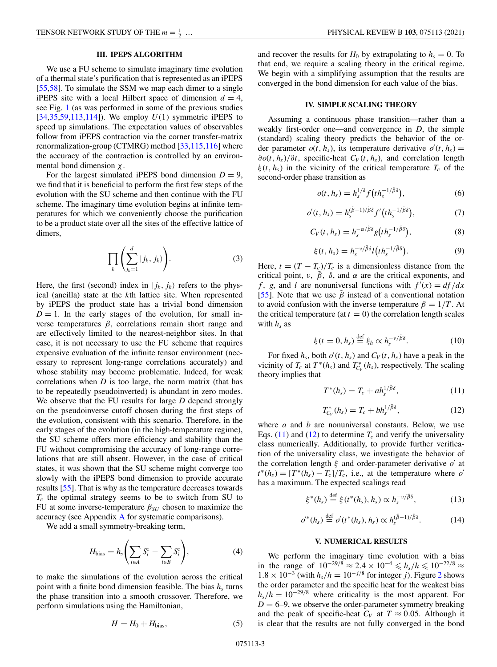#### **III. IPEPS ALGORITHM**

<span id="page-3-0"></span>We use a FU scheme to simulate imaginary time evolution of a thermal state's purification that is represented as an iPEPS [\[55,58\]](#page-10-0). To simulate the SSM we map each dimer to a single iPEPS site with a local Hilbert space of dimension  $d = 4$ , see Fig. [1](#page-2-0) (as was performed in some of the previous studies [\[34,35](#page-9-0)[,59,](#page-10-0)[113,114\]](#page-12-0)). We employ *U* (1) symmetric iPEPS to speed up simulations. The expectation values of observables follow from iPEPS contraction via the corner transfer-matrix renormalization-group (CTMRG) method  $[33,115,116]$  $[33,115,116]$  where the accuracy of the contraction is controlled by an environmental bond dimension  $\chi$ .

For the largest simulated iPEPS bond dimension  $D = 9$ , we find that it is beneficial to perform the first few steps of the evolution with the SU scheme and then continue with the FU scheme. The imaginary time evolution begins at infinite temperatures for which we conveniently choose the purification to be a product state over all the sites of the effective lattice of dimers,

$$
\prod_{k} \left( \sum_{j_k=1}^{d} |j_k, j_k \rangle \right). \tag{3}
$$

Here, the first (second) index in  $|j_k, j_k\rangle$  refers to the physical (ancilla) state at the *k*th lattice site. When represented by iPEPS the product state has a trivial bond dimension  $D = 1$ . In the early stages of the evolution, for small inverse temperatures  $\beta$ , correlations remain short range and are effectively limited to the nearest-neighbor sites. In that case, it is not necessary to use the FU scheme that requires expensive evaluation of the infinite tensor environment (necessary to represent long-range correlations accurately) and whose stability may become problematic. Indeed, for weak correlations when *D* is too large, the norm matrix (that has to be repeatedly pseudoinverted) is abundant in zero modes. We observe that the FU results for large *D* depend strongly on the pseudoinverse cutoff chosen during the first steps of the evolution, consistent with this scenario. Therefore, in the early stages of the evolution (in the high-temperature regime), the SU scheme offers more efficiency and stability than the FU without compromising the accuracy of long-range correlations that are still absent. However, in the case of critical states, it was shown that the SU scheme might converge too slowly with the iPEPS bond dimension to provide accurate results [\[55\]](#page-10-0). That is why as the temperature decreases towards *Tc* the optimal strategy seems to be to switch from SU to FU at some inverse-temperature  $\beta_{SU}$  chosen to maximize the accuracy (see Appendix [A](#page-6-0) for systematic comparisons).

We add a small symmetry-breaking term,

$$
H_{\text{bias}} = h_s \left( \sum_{i \in A} S_i^z - \sum_{i \in B} S_i^z \right),\tag{4}
$$

to make the simulations of the evolution across the critical point with a finite bond dimension feasible. The bias  $h<sub>s</sub>$  turns the phase transition into a smooth crossover. Therefore, we perform simulations using the Hamiltonian,

$$
H = H_0 + H_{bias},\tag{5}
$$

and recover the results for  $H_0$  by extrapolating to  $h_s = 0$ . To that end, we require a scaling theory in the critical regime. We begin with a simplifying assumption that the results are converged in the bond dimension for each value of the bias.

#### **IV. SIMPLE SCALING THEORY**

Assuming a continuous phase transition—rather than a weakly first-order one—and convergence in *D*, the simple (standard) scaling theory predicts the behavior of the order parameter  $o(t, h_s)$ , its temperature derivative  $o'(t, h_s)$  $\partial \phi(t, h_s)/\partial t$ , specific-heat  $C_V(t, h_s)$ , and correlation length  $\xi(t, h_s)$  in the vicinity of the critical temperature  $T_c$  of the second-order phase transition as

$$
o(t, h_s) = h_s^{1/\delta} f\bigl(t h_s^{-1/\tilde{\beta}\delta}\bigr),\tag{6}
$$

$$
o'(t, h_s) = h_s^{(\tilde{\beta}-1)/\tilde{\beta}\delta} f'(th_s^{-1/\tilde{\beta}\delta}), \tag{7}
$$

$$
C_V(t, h_s) = h_s^{-\alpha/\tilde{\beta}\delta} g\bigl(th_s^{-1/\tilde{\beta}\delta}\bigr),\tag{8}
$$

$$
\xi(t, h_s) = h_s^{-\nu/\tilde{\beta}\delta} l\bigl(th_s^{-1/\tilde{\beta}\delta}\bigr). \tag{9}
$$

Here,  $t = (T - T_c)/T_c$  is a dimensionless distance from the critical point,  $v$ ,  $\hat{\beta}$ ,  $\delta$ , and  $\alpha$  are the critical exponents, and *f*, *g*, and *l* are nonuniversal functions with  $f'(x) = df/dx$ [\[55\]](#page-10-0). Note that we use  $\hat{\beta}$  instead of a conventional notation to avoid confusion with the inverse temperature  $\beta = 1/T$ . At the critical temperature (at  $t = 0$ ) the correlation length scales with  $h_s$  as

$$
\xi(t=0, h_s) \stackrel{\text{def}}{=} \xi_h \propto h_s^{-\nu/\tilde{\beta}\delta}.
$$
 (10)

For fixed  $h_s$ , both  $o'(t, h_s)$  and  $C_V(t, h_s)$  have a peak in the vicinity of  $T_c$  at  $T^*(h_s)$  and  $T^*_{C_V}(h_s)$ , respectively. The scaling theory implies that

$$
T^*(h_s) = T_c + ah_s^{1/\tilde{\beta}\delta},\tag{11}
$$

$$
T_{C_V}^*(h_s) = T_c + bh_s^{1/\tilde{\beta}\delta},\qquad(12)
$$

where *a* and *b* are nonuniversal constants. Below, we use Eqs. (11) and (12) to determine  $T_c$  and verify the universality class numerically. Additionally, to provide further verification of the universality class, we investigate the behavior of the correlation length  $\xi$  and order-parameter derivative  $o'$  at  $t^*(h_s) = [T^*(h_s) - T_c]/T_c$ , i.e., at the temperature where *o*<sup>-</sup> has a maximum. The expected scalings read

$$
\xi^*(h_s) \stackrel{\text{def}}{=} \xi(t^*(h_s), h_s) \propto h_s^{-\nu/\tilde{\beta}\delta},\tag{13}
$$

$$
o'^{*}(h_s) \stackrel{\text{def}}{=} o'(t^*(h_s), h_s) \propto h_s^{(\tilde{\beta}-1)/\tilde{\beta}\delta}.
$$
 (14)

#### **V. NUMERICAL RESULTS**

We perform the imaginary time evolution with a bias in the range of  $10^{-29/8} \approx 2.4 \times 10^{-4} \le h_s/h \le 10^{-22/8} \approx$  $1.8 \times 10^{-3}$  (with  $h_s/h = 10^{-j/8}$  for integer *j*). Figure [2](#page-4-0) shows the order parameter and the specific heat for the weakest bias  $h_s/h = 10^{-29/8}$  where criticality is the most apparent. For  $D = 6-9$ , we observe the order-parameter symmetry breaking and the peak of specific-heat  $C_V$  at  $T \approx 0.05$ . Although it is clear that the results are not fully converged in the bond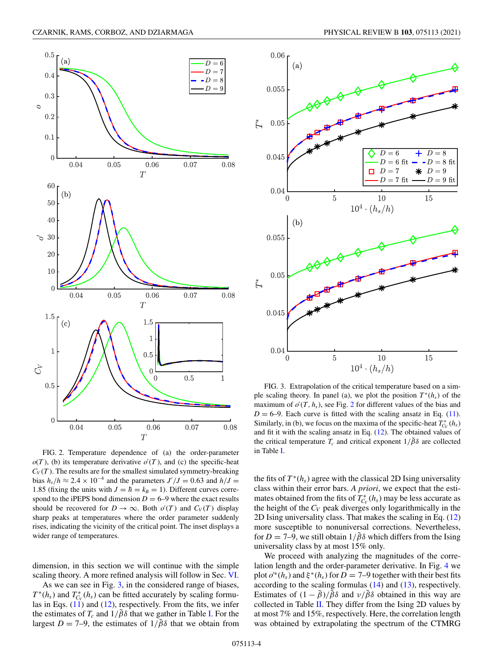<span id="page-4-0"></span>

FIG. 2. Temperature dependence of (a) the order-parameter  $o(T)$ , (b) its temperature derivative  $o'(T)$ , and (c) the specific-heat  $C_V(T)$ . The results are for the smallest simulated symmetry-breaking bias  $h_s/h \approx 2.4 \times 10^{-4}$  and the parameters  $J'/J = 0.63$  and  $h/J =$ 1.85 (fixing the units with  $J = \hbar = k_B = 1$ ). Different curves correspond to the iPEPS bond dimension  $D = 6-9$  where the exact results should be recovered for  $D \to \infty$ . Both  $o'(T)$  and  $C_V(T)$  display sharp peaks at temperatures where the order parameter suddenly rises, indicating the vicinity of the critical point. The inset displays a wider range of temperatures.

dimension, in this section we will continue with the simple scaling theory. A more refined analysis will follow in Sec. [VI.](#page-5-0)

As we can see in Fig. 3, in the considered range of biases,  $T^*(h_s)$  and  $T^*_{C_V}(h_s)$  can be fitted accurately by scaling formulas in Eqs. [\(11\)](#page-3-0) and [\(12\)](#page-3-0), respectively. From the fits, we infer the estimates of  $T_c$  and  $1/\tilde{\beta}\delta$  that we gather in Table [I.](#page-5-0) For the largest *D* = 7–9, the estimates of  $1/\beta\delta$  that we obtain from



FIG. 3. Extrapolation of the critical temperature based on a simple scaling theory. In panel (a), we plot the position  $T^*(h_s)$  of the maximum of  $o'(T, h_s)$ , see Fig. 2 for different values of the bias and  $D = 6-9$ . Each curve is fitted with the scaling ansatz in Eq. [\(11\)](#page-3-0). Similarly, in (b), we focus on the maxima of the specific-heat  $T_{C_V}^*(h_s)$ and fit it with the scaling ansatz in Eq. [\(12\)](#page-3-0). The obtained values of the critical temperature  $T_c$  and critical exponent  $1/\tilde{\beta}\delta$  are collected in Table [I.](#page-5-0)

the fits of  $T^*(h_s)$  agree with the classical 2D Ising universality class within their error bars. *A priori*, we expect that the estimates obtained from the fits of  $T_{C_V}^*(h_s)$  may be less accurate as the height of the  $C_V$  peak diverges only logarithmically in the 2D Ising universality class. That makes the scaling in Eq. [\(12\)](#page-3-0) more susceptible to nonuniversal corrections. Nevertheless, for *D* = 7–9, we still obtain  $1/\tilde{\beta}\delta$  which differs from the Ising universality class by at most 15% only.

We proceed with analyzing the magnitudes of the correlation length and the order-parameter derivative. In Fig. [4](#page-5-0) we plot  $o^*(h_s)$  and  $\xi^*(h_s)$  for  $D = 7$ –9 together with their best fits according to the scaling formulas [\(14\)](#page-3-0) and [\(13\)](#page-3-0), respectively. Estimates of  $(1 - \tilde{\beta})/\tilde{\beta}\delta$  and  $\nu/\tilde{\beta}\delta$  obtained in this way are collected in Table [II.](#page-5-0) They differ from the Ising 2D values by at most 7% and 15%, respectively. Here, the correlation length was obtained by extrapolating the spectrum of the CTMRG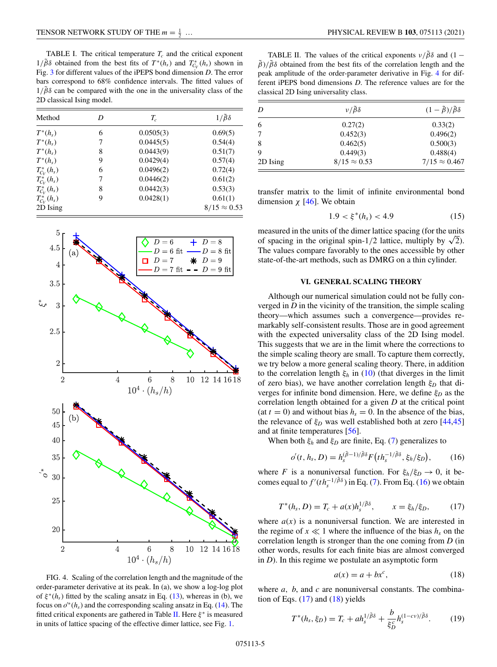<span id="page-5-0"></span>TABLE I. The critical temperature  $T_c$  and the critical exponent 1/ $\tilde{\beta} \delta$  obtained from the best fits of *T*<sup>\*</sup>(*h<sub>s</sub>*) and *T*<sub>*C<sub>V</sub>*</sub> (*h<sub>s</sub>*) shown in Fig. [3](#page-4-0) for different values of the iPEPS bond dimension *D*. The error bars correspond to 68% confidence intervals. The fitted values of  $1/\beta\delta$  can be compared with the one in the universality class of the 2D classical Ising model.

| Method           | D | $T_c$     | $1/\tilde{\beta}\delta$ |
|------------------|---|-----------|-------------------------|
| $T^*(h_s)$       | 6 | 0.0505(3) | 0.69(5)                 |
| $T^*(h_{s})$     | 7 | 0.0445(5) | 0.54(4)                 |
| $T^*(h_s)$       | 8 | 0.0443(9) | 0.51(7)                 |
| $T^*(h_s)$       | 9 | 0.0429(4) | 0.57(4)                 |
| $T_{C_V}^*(h_s)$ | 6 | 0.0496(2) | 0.72(4)                 |
| $T_{C_V}^*(h_s)$ | 7 | 0.0446(2) | 0.61(2)                 |
| $T_{C_V}^*(h_s)$ | 8 | 0.0442(3) | 0.53(3)                 |
| $T_{C_V}^*(h_s)$ | 9 | 0.0428(1) | 0.61(1)                 |
| 2D Ising         |   |           | $8/15 \approx 0.53$     |



FIG. 4. Scaling of the correlation length and the magnitude of the order-parameter derivative at its peak. In (a), we show a log-log plot of  $\xi^*(h_s)$  fitted by the scaling ansatz in Eq. [\(13\)](#page-3-0), whereas in (b), we focus on  $o'^*(h_s)$  and the corresponding scaling ansatz in Eq. [\(14\)](#page-3-0). The fitted critical exponents are gathered in Table II. Here  $\xi^*$  is measured in units of lattice spacing of the effective dimer lattice, see Fig. [1.](#page-2-0)

TABLE II. The values of the critical exponents  $\nu/\tilde{\beta}\delta$  and (1 –  $\tilde{\beta}$ )/ $\tilde{\beta}$ δ obtained from the best fits of the correlation length and the peak amplitude of the order-parameter derivative in Fig. 4 for different iPEPS bond dimensions *D*. The reference values are for the classical 2D Ising universality class.

| D        | $\nu/\tilde{\beta}\delta$ | $(1 - \tilde{\beta})/\tilde{\beta}\delta$ |
|----------|---------------------------|-------------------------------------------|
| 6        | 0.27(2)                   | 0.33(2)                                   |
| 7        | 0.452(3)                  | 0.496(2)                                  |
| 8        | 0.462(5)                  | 0.500(3)                                  |
| 9        | 0.449(3)                  | 0.488(4)                                  |
| 2D Ising | $8/15 \approx 0.53$       | $7/15 \approx 0.467$                      |

transfer matrix to the limit of infinite environmental bond dimension  $\chi$  [\[46\]](#page-10-0). We obtain

$$
1.9 < \xi^*(h_s) < 4.9 \tag{15}
$$

measured in the units of the dimer lattice spacing (for the units of spacing in the original spin-1/2 lattice, multiply by  $\sqrt{2}$ ). The values compare favorably to the ones accessible by other state-of-the-art methods, such as DMRG on a thin cylinder.

#### **VI. GENERAL SCALING THEORY**

Although our numerical simulation could not be fully converged in *D* in the vicinity of the transition, the simple scaling theory—which assumes such a convergence—provides remarkably self-consistent results. Those are in good agreement with the expected universality class of the 2D Ising model. This suggests that we are in the limit where the corrections to the simple scaling theory are small. To capture them correctly, we try below a more general scaling theory. There, in addition to the correlation length  $\xi_h$  in [\(10\)](#page-3-0) (that diverges in the limit of zero bias), we have another correlation length ξ*<sup>D</sup>* that diverges for infinite bond dimension. Here, we define ξ*<sup>D</sup>* as the correlation length obtained for a given *D* at the critical point (at  $t = 0$ ) and without bias  $h_s = 0$ . In the absence of the bias, the relevance of  $\xi_D$  was well established both at zero [\[44,45\]](#page-10-0) and at finite temperatures [\[56\]](#page-10-0).

When both  $\xi_h$  and  $\xi_D$  are finite, Eq. [\(7\)](#page-3-0) generalizes to

$$
o'(t, h_s, D) = h_s^{(\tilde{\beta} - 1)/\tilde{\beta}\delta} F\left(th_s^{-1/\tilde{\beta}\delta}, \xi_h/\xi_D\right),\tag{16}
$$

where *F* is a nonuniversal function. For  $\xi_h/\xi_D \rightarrow 0$ , it becomes equal to  $f'(th_s^{-1/\tilde{\beta}\delta})$  in Eq. [\(7\)](#page-3-0). From Eq. (16) we obtain

$$
T^*(h_s, D) = T_c + a(x)h_s^{1/\tilde{\beta}\delta}, \qquad x = \xi_h/\xi_D,
$$
 (17)

where  $a(x)$  is a nonuniversal function. We are interested in the regime of  $x \ll 1$  where the influence of the bias  $h_s$  on the correlation length is stronger than the one coming from *D* (in other words, results for each finite bias are almost converged in *D*). In this regime we postulate an asymptotic form

$$
a(x) = a + bx^c,\tag{18}
$$

where *a*, *b*, and *c* are nonuniversal constants. The combination of Eqs.  $(17)$  and  $(18)$  yields

$$
T^*(h_s, \xi_D) = T_c + ah_s^{1/\tilde{\beta}\delta} + \frac{b}{\xi_D^c} h_s^{(1-cv)/\tilde{\beta}\delta}.
$$
 (19)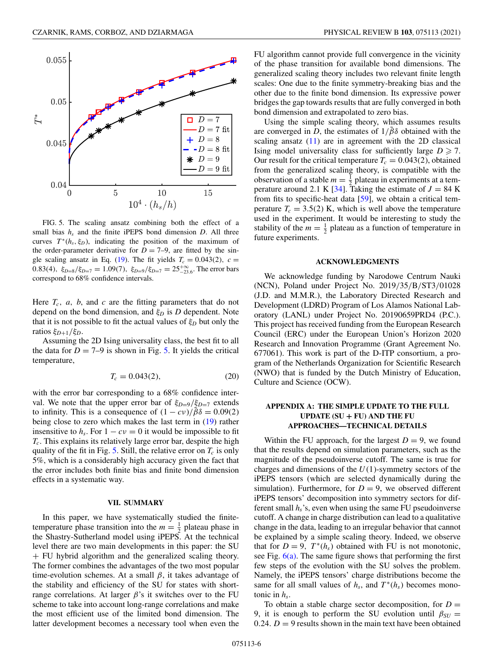<span id="page-6-0"></span>

FIG. 5. The scaling ansatz combining both the effect of a small bias *hs* and the finite iPEPS bond dimension *D*. All three curves  $T^*(h_s, \xi_D)$ , indicating the position of the maximum of the order-parameter derivative for  $D = 7-9$ , are fitted by the sin-gle scaling ansatz in Eq. [\(19\)](#page-5-0). The fit yields  $T_c = 0.043(2)$ ,  $c =$ 0.83(4),  $\xi_{D=8}/\xi_{D=7} = 1.09(7)$ ,  $\xi_{D=9}/\xi_{D=7} = 25^{+\infty}_{-23.6}$ . The error bars correspond to 68% confidence intervals.

Here  $T_c$ ,  $a$ ,  $b$ , and  $c$  are the fitting parameters that do not depend on the bond dimension, and  $\xi_D$  is *D* dependent. Note that it is not possible to fit the actual values of  $\xi_D$  but only the ratios ξ*D*+1/ξ*D*.

Assuming the 2D Ising universality class, the best fit to all the data for  $D = 7-9$  is shown in Fig. 5. It yields the critical temperature,

$$
T_c = 0.043(2),\t(20)
$$

with the error bar corresponding to a  $68\%$  confidence interval. We note that the upper error bar of  $\xi_{D=9}/\xi_{D=7}$  extends to infinity. This is a consequence of  $(1 - cv)/\tilde{\beta}\delta = 0.09(2)$ being close to zero which makes the last term in [\(19\)](#page-5-0) rather insensitive to  $h_s$ . For  $1 - cv = 0$  it would be impossible to fit *Tc*. This explains its relatively large error bar, despite the high quality of the fit in Fig. 5. Still, the relative error on  $T_c$  is only 5%, which is a considerably high accuracy given the fact that the error includes both finite bias and finite bond dimension effects in a systematic way.

#### **VII. SUMMARY**

In this paper, we have systematically studied the finitetemperature phase transition into the  $m = \frac{1}{2}$  plateau phase in the Shastry-Sutherland model using iPEPS. At the technical level there are two main developments in this paper: the SU + FU hybrid algorithm and the generalized scaling theory. The former combines the advantages of the two most popular time-evolution schemes. At a small  $\beta$ , it takes advantage of the stability and efficiency of the SU for states with shortrange correlations. At larger  $\beta$ 's it switches over to the FU scheme to take into account long-range correlations and make the most efficient use of the limited bond dimension. The latter development becomes a necessary tool when even the FU algorithm cannot provide full convergence in the vicinity of the phase transition for available bond dimensions. The generalized scaling theory includes two relevant finite length scales: One due to the finite symmetry-breaking bias and the other due to the finite bond dimension. Its expressive power bridges the gap towards results that are fully converged in both bond dimension and extrapolated to zero bias.

Using the simple scaling theory, which assumes results are converged in *D*, the estimates of  $1/\beta\delta$  obtained with the scaling ansatz  $(11)$  are in agreement with the 2D classical Ising model universality class for sufficiently large  $D \ge 7$ . Our result for the critical temperature  $T_c = 0.043(2)$ , obtained from the generalized scaling theory, is compatible with the observation of a stable  $m = \frac{1}{2}$  plateau in experiments at a tem-perature around 2.1 K [\[34\]](#page-9-0). Taking the estimate of  $J = 84$  K from fits to specific-heat data [\[59\]](#page-10-0), we obtain a critical temperature  $T_c = 3.5(2)$  K, which is well above the temperature used in the experiment. It would be interesting to study the stability of the  $m = \frac{1}{2}$  plateau as a function of temperature in future experiments.

#### **ACKNOWLEDGMENTS**

We acknowledge funding by Narodowe Centrum Nauki (NCN), Poland under Project No. 2019/35/B/ST3/01028 (J.D. and M.M.R.), the Laboratory Directed Research and Development (LDRD) Program of Los Alamos National Laboratory (LANL) under Project No. 20190659PRD4 (P.C.). This project has received funding from the European Research Council (ERC) under the European Union's Horizon 2020 Research and Innovation Programme (Grant Agreement No. 677061). This work is part of the D-ITP consortium, a program of the Netherlands Organization for Scientific Research (NWO) that is funded by the Dutch Ministry of Education, Culture and Science (OCW).

### **APPENDIX A: THE SIMPLE UPDATE TO THE FULL UPDATE (SU + FU) AND THE FU APPROACHES—TECHNICAL DETAILS**

Within the FU approach, for the largest  $D = 9$ , we found that the results depend on simulation parameters, such as the magnitude of the pseudoinverse cutoff. The same is true for charges and dimensions of the *U* (1)-symmetry sectors of the iPEPS tensors (which are selected dynamically during the simulation). Furthermore, for  $D = 9$ , we observed different iPEPS tensors' decomposition into symmetry sectors for different small *hs*'s, even when using the same FU pseudoinverse cutoff. A change in charge distribution can lead to a qualitative change in the data, leading to an irregular behavior that cannot be explained by a simple scaling theory. Indeed, we observe that for  $D = 9$ ,  $T^*(h_s)$  obtained with FU is not monotonic, see Fig.  $6(a)$ . The same figure shows that performing the first few steps of the evolution with the SU solves the problem. Namely, the iPEPS tensors' charge distributions become the same for all small values of  $h_s$ , and  $T^*(h_s)$  becomes monotonic in  $h_s$ .

To obtain a stable charge sector decomposition, for  $D =$ 9, it is enough to perform the SU evolution until  $\beta_{SU}$  = 0.24.  $D = 9$  results shown in the main text have been obtained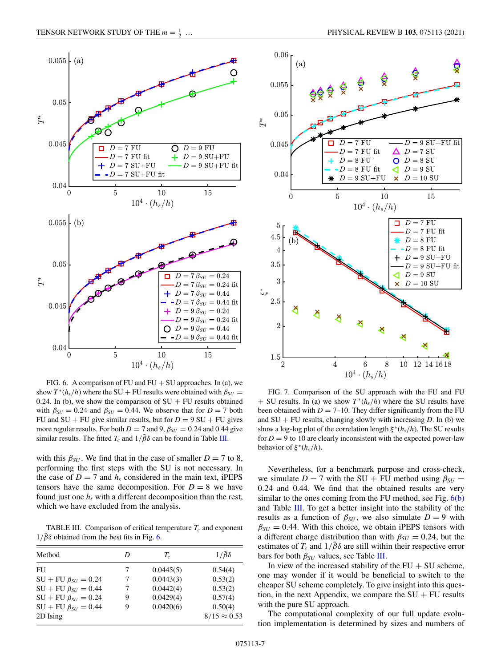<span id="page-7-0"></span>

FIG. 6. A comparison of FU and  $FU + SU$  approaches. In (a), we show  $T^*(h_s/h)$  where the SU + FU results were obtained with  $\beta_{SU}$  = 0.24. In (b), we show the comparison of  $SU + FU$  results obtained with  $\beta_{SU} = 0.24$  and  $\beta_{SU} = 0.44$ . We observe that for  $D = 7$  both FU and  $SU + FU$  give similar results, but for  $D = 9 SU + FU$  gives more regular results. For both  $D = 7$  and 9,  $\beta_{SU} = 0.24$  and 0.44 give similar results. The fitted  $T_c$  and  $1/\tilde{\beta}\delta$  can be found in Table III.

with this  $\beta_{SU}$ . We find that in the case of smaller  $D = 7$  to 8, performing the first steps with the SU is not necessary. In the case of  $D = 7$  and  $h_s$  considered in the main text, iPEPS tensors have the same decomposition. For  $D = 8$  we have found just one *hs* with a different decomposition than the rest, which we have excluded from the analysis.

TABLE III. Comparison of critical temperature  $T_c$  and exponent  $1/\tilde{\beta} \delta$  obtained from the best fits in Fig. 6.

| Method                      | D | $T_c$     | $1/\tilde{\beta}\delta$ |
|-----------------------------|---|-----------|-------------------------|
| FU                          |   | 0.0445(5) | 0.54(4)                 |
| $SU + FU \beta_{SI} = 0.24$ |   | 0.0443(3) | 0.53(2)                 |
| $SU + FU \beta_{SU} = 0.44$ |   | 0.0442(4) | 0.53(2)                 |
| $SU + FU \beta_{SU} = 0.24$ | 9 | 0.0429(4) | 0.57(4)                 |
| $SU + FU \beta_{SU} = 0.44$ | 9 | 0.0420(6) | 0.50(4)                 |
| 2D Ising                    |   |           | $8/15 \approx 0.53$     |



FIG. 7. Comparison of the SU approach with the FU and FU  $+$  SU results. In (a) we show  $T^*(h_s/h)$  where the SU results have been obtained with  $D = 7$ –10. They differ significantly from the FU and  $SU + FU$  results, changing slowly with increasing *D*. In (b) we show a log-log plot of the correlation length  $\xi^*(h_s/h)$ . The SU results for  $D = 9$  to 10 are clearly inconsistent with the expected power-law behavior of  $\xi^*(h_s/h)$ .

Nevertheless, for a benchmark purpose and cross-check, we simulate  $D = 7$  with the SU + FU method using  $\beta_{SU} =$ 0.24 and 0.44. We find that the obtained results are very similar to the ones coming from the FU method, see Fig.  $6(b)$ and Table III. To get a better insight into the stability of the results as a function of  $\beta_{SU}$ , we also simulate  $D = 9$  with  $\beta_{SU} = 0.44$ . With this choice, we obtain iPEPS tensors with a different charge distribution than with  $\beta_{SU} = 0.24$ , but the estimates of  $T_c$  and  $1/\tilde{\beta}\delta$  are still within their respective error bars for both  $\beta_{SU}$  values, see Table III.

In view of the increased stability of the  $FU + SU$  scheme, one may wonder if it would be beneficial to switch to the cheaper SU scheme completely. To give insight into this question, in the next Appendix, we compare the  $SU + FU$  results with the pure SU approach.

The computational complexity of our full update evolution implementation is determined by sizes and numbers of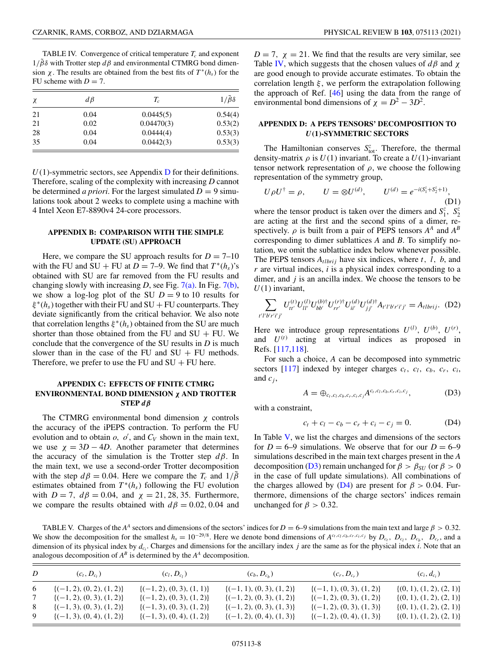<span id="page-8-0"></span>TABLE IV. Convergence of critical temperature  $T_c$  and exponent  $1/\bar{\beta}\delta$  with Trotter step  $d\beta$  and environmental CTMRG bond dimension  $\chi$ . The results are obtained from the best fits of  $T^*(h_s)$  for the FU scheme with  $D = 7$ .

| $\chi$ | $d\beta$ | $T_c$      | $1/\tilde{\beta}\delta$ |
|--------|----------|------------|-------------------------|
| 21     | 0.04     | 0.0445(5)  | 0.54(4)                 |
| 21     | 0.02     | 0.04470(3) | 0.53(2)                 |
| 28     | 0.04     | 0.0444(4)  | 0.53(3)                 |
| 35     | 0.04     | 0.0442(3)  | 0.53(3)                 |

 $U(1)$ -symmetric sectors, see Appendix  $D$  for their definitions. Therefore, scaling of the complexity with increasing *D* cannot be determined *a priori*. For the largest simulated  $D = 9$  simulations took about 2 weeks to complete using a machine with 4 Intel Xeon E7-8890v4 24-core processors.

### **APPENDIX B: COMPARISON WITH THE SIMPLE UPDATE (SU) APPROACH**

Here, we compare the SU approach results for  $D = 7-10$ with the FU and SU + FU at  $D = 7-9$ . We find that  $T^*(h_s)$ 's obtained with SU are far removed from the FU results and changing slowly with increasing *D*, see Fig.  $7(a)$ . In Fig.  $7(b)$ , we show a log-log plot of the SU  $D = 9$  to 10 results for ξ <sup>∗</sup>(*hs*) together with their FU and SU + FU counterparts. They deviate significantly from the critical behavior. We also note that correlation lengths  $\xi^*(h_s)$  obtained from the SU are much shorter than those obtained from the FU and  $SU + FU$ . We conclude that the convergence of the SU results in *D* is much slower than in the case of the FU and  $SU + FU$  methods. Therefore, we prefer to use the FU and  $SU + FU$  here.

### **APPENDIX C: EFFECTS OF FINITE CTMRG ENVIRONMENTAL BOND DIMENSION** *χ* **AND TROTTER STEP** *dβ*

The CTMRG environmental bond dimension  $\chi$  controls the accuracy of the iPEPS contraction. To perform the FU evolution and to obtain  $o$ ,  $o'$ , and  $C_V$  shown in the main text, we use  $\chi = 3D - 4D$ . Another parameter that determines the accuracy of the simulation is the Trotter step *d*β. In the main text, we use a second-order Trotter decomposition with the step  $d\beta = 0.04$ . Here we compare the  $T_c$  and  $1/\tilde{\beta}$ estimates obtained from  $T^*(h_s)$  following the FU evolution with  $D = 7$ ,  $d\beta = 0.04$ , and  $\chi = 21, 28, 35$ . Furthermore, we compare the results obtained with  $d\beta = 0.02, 0.04$  and  $D = 7$ ,  $\chi = 21$ . We find that the results are very similar, see Table IV, which suggests that the chosen values of  $d\beta$  and  $\chi$ are good enough to provide accurate estimates. To obtain the correlation length  $\xi$ , we perform the extrapolation following the approach of Ref. [\[46\]](#page-10-0) using the data from the range of environmental bond dimensions of  $\chi = D^2 - 3D^2$ .

### **APPENDIX D: A PEPS TENSORS' DECOMPOSITION TO** *U***(1)-SYMMETRIC SECTORS**

The Hamiltonian conserves  $S_{\text{tot}}^z$ . Therefore, the thermal density-matrix  $\rho$  is  $U(1)$  invariant. To create a  $U(1)$ -invariant tensor network representation of  $\rho$ , we choose the following representation of the symmetry group,

$$
U \rho U^{\dagger} = \rho
$$
,  $U = \otimes U^{(d)}$ ,  $U^{(d)} = e^{-i(S_1^z + S_2^z + 1)}$ , (D1)

where the tensor product is taken over the dimers and  $S_1^z$ ,  $S_2^z$ are acting at the first and the second spins of a dimer, respectively.  $\rho$  is built from a pair of PEPS tensors  $A^A$  and  $A^B$ corresponding to dimer sublattices *A* and *B*. To simplify notation, we omit the sublattice index below whenever possible. The PEPS tensors  $A_{tlbrij}$  have six indices, where  $t$ ,  $l$ ,  $b$ , and *r* are virtual indices, *i* is a physical index corresponding to a dimer, and *j* is an ancilla index. We choose the tensors to be  $U(1)$  invariant,

$$
\sum_{t'l'b'r'i'j'} U_{tt'}^{(t)} U_{ll'}^{(l)} U_{bb'}^{(b)\dagger} U_{rr'}^{(r)\dagger} U_{ii'}^{(d)} U_{jj'}^{(d)\dagger} A_{t'l'b'r'i'j'} = A_{tlbrij}.
$$
 (D2)

Here we introduce group representations  $U^{(l)}$ ,  $U^{(b)}$ ,  $U^{(r)}$ , and  $U^{(t)}$  acting at virtual indices as proposed in Refs. [\[117,118\]](#page-12-0).

For such a choice, *A* can be decomposed into symmetric sectors [\[117\]](#page-12-0) indexed by integer charges  $c_t$ ,  $c_l$ ,  $c_b$ ,  $c_r$ ,  $c_i$ , and  $c_i$ ,

$$
A = \bigoplus_{c_t, c_t, c_b, c_r, c_i, c_j} A^{c_t, c_t, c_b, c_r, c_i, c_j}, \tag{D3}
$$

with a constraint,

$$
c_t + c_l - c_b - c_r + c_i - c_j = 0.
$$
 (D4)

In Table  $V$ , we list the charges and dimensions of the sectors for  $D = 6-9$  simulations. We observe that for our  $D = 6-9$ simulations described in the main text charges present in the *A* decomposition (D3) remain unchanged for  $\beta > \beta_{SU}$  (or  $\beta > 0$ in the case of full update simulations). All combinations of the charges allowed by (D4) are present for  $\beta > 0.04$ . Furthermore, dimensions of the charge sectors' indices remain unchanged for  $\beta > 0.32$ .

TABLE V. Charges of the  $A^A$  sectors and dimensions of the sectors' indices for  $D = 6-9$  simulations from the main text and large  $\beta > 0.32$ . We show the decomposition for the smallest  $h_s = 10^{-29/8}$ . Here we denote bond dimensions of  $A^{c_f,c_f,c_f,c_f,c_f}$  by  $D_{c_f}$ ,  $D_{c_f}$ ,  $D_{c_f}$ ,  $D_{c_f}$ , and a dimension of its physical index by  $d_{c_i}$ . Charges and dimensions for the ancillary index *j* are the same as for the physical index *i*. Note that an analogous decomposition of  $A^B$  is determined by the  $A^A$  decomposition.

| D | $(c_t, D_{c_t})$               | $(c_l, D_{c_l})$               | $(c_b, D_{c_b})$               | $(c_r, D_{c_r})$               | $(c_i, d_{c_i})$              |
|---|--------------------------------|--------------------------------|--------------------------------|--------------------------------|-------------------------------|
| 6 | $\{(-1, 2), (0, 2), (1, 2)\}\$ | $\{(-1, 2), (0, 3), (1, 1)\}\$ | $\{(-1, 1), (0, 3), (1, 2)\}\$ | $\{(-1, 1), (0, 3), (1, 2)\}\$ | $\{(0, 1), (1, 2), (2, 1)\}\$ |
|   | $\{(-1, 2), (0, 3), (1, 2)\}\$ | $\{(-1, 2), (0, 3), (1, 2)\}\$ | $\{(-1, 2), (0, 3), (1, 2)\}\$ | $\{(-1, 2), (0, 3), (1, 2)\}\$ | $\{(0, 1), (1, 2), (2, 1)\}\$ |
| 8 | $\{(-1, 3), (0, 3), (1, 2)\}\$ | $\{(-1, 3), (0, 3), (1, 2)\}\$ | $\{(-1, 2), (0, 3), (1, 3)\}\$ | $\{(-1, 2), (0, 3), (1, 3)\}\$ | $\{(0, 1), (1, 2), (2, 1)\}\$ |
|   | $\{(-1, 3), (0, 4), (1, 2)\}\$ | $\{(-1, 3), (0, 4), (1, 2)\}\$ | $\{(-1, 2), (0, 4), (1, 3)\}\$ | $\{(-1, 2), (0, 4), (1, 3)\}\$ | $\{(0, 1), (1, 2), (2, 1)\}\$ |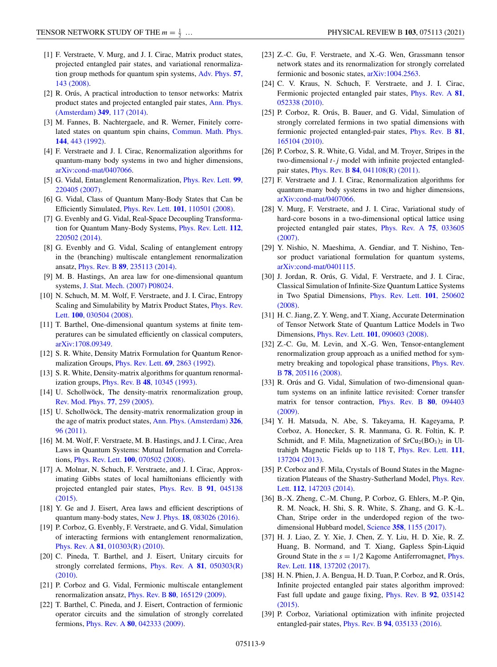- <span id="page-9-0"></span>[1] F. Verstraete, V. Murg, and J. I. Cirac, Matrix product states, projected entangled pair states, and variational renormaliza[tion group methods for quantum spin systems,](https://doi.org/10.1080/14789940801912366) Adv. Phys. **57**, 143 (2008).
- [2] R. Orús, A practical introduction to tensor networks: Matrix [product states and projected entangled pair states,](https://doi.org/10.1016/j.aop.2014.06.013) Ann. Phys. (Amsterdam) **349**, 117 (2014).
- [3] M. Fannes, B. Nachtergaele, and R. Werner, Finitely corre[lated states on quantum spin chains,](https://doi.org/10.1007/BF02099178) Commun. Math. Phys. **144**, 443 (1992).
- [4] F. Verstraete and J. I. Cirac, Renormalization algorithms for quantum-many body systems in two and higher dimensions, [arXiv:cond-mat/0407066.](http://arxiv.org/abs/arXiv:cond-mat/0407066)
- [5] [G. Vidal, Entanglement Renormalization,](https://doi.org/10.1103/PhysRevLett.99.220405) Phys. Rev. Lett. **99**, 220405 (2007).
- [6] G. Vidal, Class of Quantum Many-Body States that Can be Efficiently Simulated, Phys. Rev. Lett. **101**[, 110501 \(2008\).](https://doi.org/10.1103/PhysRevLett.101.110501)
- [7] G. Evenbly and G. Vidal, Real-Space Decoupling Transforma[tion for Quantum Many-Body Systems,](https://doi.org/10.1103/PhysRevLett.112.220502) Phys. Rev. Lett. **112**, 220502 (2014).
- [8] G. Evenbly and G. Vidal, Scaling of entanglement entropy in the (branching) multiscale entanglement renormalization ansatz, Phys. Rev. B **89**[, 235113 \(2014\).](https://doi.org/10.1103/PhysRevB.89.235113)
- [9] M. B. Hastings, An area law for one-dimensional quantum systems, [J. Stat. Mech. \(2007\) P08024.](https://doi.org/10.1088/1742-5468/2007/08/P08024)
- [10] N. Schuch, M. M. Wolf, F. Verstraete, and J. I. Cirac, Entropy [Scaling and Simulability by Matrix Product States,](https://doi.org/10.1103/PhysRevLett.100.030504) Phys. Rev. Lett. **100**, 030504 (2008).
- [11] T. Barthel, One-dimensional quantum systems at finite temperatures can be simulated efficiently on classical computers, [arXiv:1708.09349.](http://arxiv.org/abs/arXiv:1708.09349)
- [12] S. R. White, Density Matrix Formulation for Quantum Renormalization Groups, [Phys. Rev. Lett.](https://doi.org/10.1103/PhysRevLett.69.2863) **69**, 2863 (1992).
- [13] S. R. White, Density-matrix algorithms for quantum renormalization groups, Phys. Rev. B **48**[, 10345 \(1993\).](https://doi.org/10.1103/PhysRevB.48.10345)
- [14] U. Schollwöck, The density-matrix renormalization group, [Rev. Mod. Phys.](https://doi.org/10.1103/RevModPhys.77.259) **77**, 259 (2005).
- [15] U. Schollwöck, The density-matrix renormalization group in [the age of matrix product states,](https://doi.org/10.1016/j.aop.2010.09.012) Ann. Phys. (Amsterdam) **326**, 96 (2011).
- [16] M. M. Wolf, F. Verstraete, M. B. Hastings, and J. I. Cirac, Area Laws in Quantum Systems: Mutual Information and Correlations, Phys. Rev. Lett. **100**[, 070502 \(2008\).](https://doi.org/10.1103/PhysRevLett.100.070502)
- [17] A. Molnar, N. Schuch, F. Verstraete, and J. I. Cirac, Approximating Gibbs states of local hamiltonians efficiently with [projected entangled pair states,](https://doi.org/10.1103/PhysRevB.91.045138) Phys. Rev. B **91**, 045138 (2015).
- [18] Y. Ge and J. Eisert, Area laws and efficient descriptions of quantum many-body states, New J. Phys. **18**[, 083026 \(2016\).](https://doi.org/10.1088/1367-2630/18/8/083026)
- [19] P. Corboz, G. Evenbly, F. Verstraete, and G. Vidal, Simulation of interacting fermions with entanglement renormalization, Phys. Rev. A **81**[, 010303\(R\) \(2010\).](https://doi.org/10.1103/PhysRevA.81.010303)
- [20] C. Pineda, T. Barthel, and J. Eisert, Unitary circuits for [strongly correlated fermions,](https://doi.org/10.1103/PhysRevA.81.050303) Phys. Rev. A **81**, 050303(R) (2010).
- [21] P. Corboz and G. Vidal, Fermionic multiscale entanglement renormalization ansatz, Phys. Rev. B **80**[, 165129 \(2009\).](https://doi.org/10.1103/PhysRevB.80.165129)
- [22] T. Barthel, C. Pineda, and J. Eisert, Contraction of fermionic operator circuits and the simulation of strongly correlated fermions, Phys. Rev. A **80**[, 042333 \(2009\).](https://doi.org/10.1103/PhysRevA.80.042333)
- [23] Z.-C. Gu, F. Verstraete, and X.-G. Wen, Grassmann tensor network states and its renormalization for strongly correlated fermionic and bosonic states, [arXiv:1004.2563.](http://arxiv.org/abs/arXiv:1004.2563)
- [24] C. V. Kraus, N. Schuch, F. Verstraete, and J. I. Cirac, [Fermionic projected entangled pair states,](https://doi.org/10.1103/PhysRevA.81.052338) Phys. Rev. A **81**, 052338 (2010).
- [25] P. Corboz, R. Orús, B. Bauer, and G. Vidal, Simulation of strongly correlated fermions in two spatial dimensions with [fermionic projected entangled-pair states,](https://doi.org/10.1103/PhysRevB.81.165104) Phys. Rev. B **81**, 165104 (2010).
- [26] P. Corboz, S. R. White, G. Vidal, and M. Troyer, Stripes in the two-dimensional *t*-*j* model with infinite projected entangledpair states, Phys. Rev. B **84**[, 041108\(R\) \(2011\).](https://doi.org/10.1103/PhysRevB.84.041108)
- [27] F. Verstraete and J. I. Cirac, Renormalization algorithms for quantum-many body systems in two and higher dimensions, [arXiv:cond-mat/0407066.](http://arxiv.org/abs/arXiv:cond-mat/0407066)
- [28] V. Murg, F. Verstraete, and J. I. Cirac, Variational study of hard-core bosons in a two-dimensional optical lattice using [projected entangled pair states,](https://doi.org/10.1103/PhysRevA.75.033605) Phys. Rev. A **75**, 033605 (2007).
- [29] Y. Nishio, N. Maeshima, A. Gendiar, and T. Nishino, Tensor product variational formulation for quantum systems, [arXiv:cond-mat/0401115.](http://arxiv.org/abs/arXiv:cond-mat/0401115)
- [30] J. Jordan, R. Orús, G. Vidal, F. Verstraete, and J. I. Cirac, Classical Simulation of Infinite-Size Quantum Lattice Systems [in Two Spatial Dimensions,](https://doi.org/10.1103/PhysRevLett.101.250602) Phys. Rev. Lett. **101**, 250602 (2008).
- [31] H. C. Jiang, Z. Y. Weng, and T. Xiang, Accurate Determination of Tensor Network State of Quantum Lattice Models in Two Dimensions, Phys. Rev. Lett. **101**[, 090603 \(2008\).](https://doi.org/10.1103/PhysRevLett.101.090603)
- [32] Z.-C. Gu, M. Levin, and X.-G. Wen, Tensor-entanglement renormalization group approach as a unified method for sym[metry breaking and topological phase transitions,](https://doi.org/10.1103/PhysRevB.78.205116) Phys. Rev. B **78**, 205116 (2008).
- [33] R. Orús and G. Vidal, Simulation of two-dimensional quantum systems on an infinite lattice revisited: Corner transfer [matrix for tensor contraction,](https://doi.org/10.1103/PhysRevB.80.094403) Phys. Rev. B **80**, 094403 (2009).
- [34] Y. H. Matsuda, N. Abe, S. Takeyama, H. Kageyama, P. Corboz, A. Honecker, S. R. Manmana, G. R. Foltin, K. P. Schmidt, and F. Mila, Magnetization of  $SrCu<sub>2</sub>(BO<sub>3</sub>)<sub>2</sub>$  in Ul[trahigh Magnetic Fields up to 118 T,](https://doi.org/10.1103/PhysRevLett.111.137204) Phys. Rev. Lett. **111**, 137204 (2013).
- [35] P. Corboz and F. Mila, Crystals of Bound States in the Magne[tization Plateaus of the Shastry-Sutherland Model,](https://doi.org/10.1103/PhysRevLett.112.147203) Phys. Rev. Lett. **112**, 147203 (2014).
- [36] B.-X. Zheng, C.-M. Chung, P. Corboz, G. Ehlers, M.-P. Qin, R. M. Noack, H. Shi, S. R. White, S. Zhang, and G. K.-L. Chan, Stripe order in the underdoped region of the twodimensional Hubbard model, Science **358**[, 1155 \(2017\).](https://doi.org/10.1126/science.aam7127)
- [37] H. J. Liao, Z. Y. Xie, J. Chen, Z. Y. Liu, H. D. Xie, R. Z. Huang, B. Normand, and T. Xiang, Gapless Spin-Liquid Ground State in the  $s = 1/2$  Kagome Antiferromagnet, *Phys.* Rev. Lett. **118**, 137202 (2017).
- [38] H. N. Phien, J. A. Bengua, H. D. Tuan, P. Corboz, and R. Orús, Infinite projected entangled pair states algorithm improved: [Fast full update and gauge fixing,](https://doi.org/10.1103/PhysRevB.92.035142) Phys. Rev. B **92**, 035142 (2015).
- [39] P. Corboz, Variational optimization with infinite projected entangled-pair states, Phys. Rev. B **94**[, 035133 \(2016\).](https://doi.org/10.1103/PhysRevB.94.035133)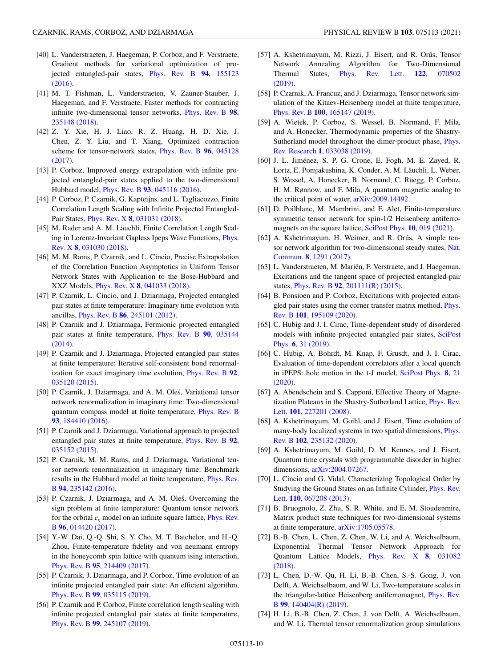- <span id="page-10-0"></span>[40] L. Vanderstraeten, J. Haegeman, P. Corboz, and F. Verstraete, Gradient methods for variational optimization of pro[jected entangled-pair states,](https://doi.org/10.1103/PhysRevB.94.155123) Phys. Rev. B **94**, 155123 (2016).
- [41] M. T. Fishman, L. Vanderstraeten, V. Zauner-Stauber, J. Haegeman, and F. Verstraete, Faster methods for contracting [infinite two-dimensional tensor networks,](https://doi.org/10.1103/PhysRevB.98.235148) Phys. Rev. B **98**, 235148 (2018).
- [42] Z. Y. Xie, H. J. Liao, R. Z. Huang, H. D. Xie, J. Chen, Z. Y. Liu, and T. Xiang, Optimized contraction [scheme for tensor-network states,](https://doi.org/10.1103/PhysRevB.96.045128) Phys. Rev. B **96**, 045128 (2017).
- [43] P. Corboz, Improved energy extrapolation with infinite projected entangled-pair states applied to the two-dimensional Hubbard model, Phys. Rev. B **93**[, 045116 \(2016\).](https://doi.org/10.1103/PhysRevB.93.045116)
- [44] P. Corboz, P. Czarnik, G. Kapteijns, and L. Tagliacozzo, Finite Correlation Length Scaling with Infinite Projected Entangled-Pair States, Phys. Rev. X **8**[, 031031 \(2018\).](https://doi.org/10.1103/PhysRevX.8.031031)
- [45] M. Rader and A. M. Läuchli, Finite Correlation Length Scal[ing in Lorentz-Invariant Gapless Ipeps Wave Functions,](https://doi.org/10.1103/PhysRevX.8.031030) Phys. Rev. X **8**, 031030 (2018).
- [46] M. M. Rams, P. Czarnik, and L. Cincio, Precise Extrapolation of the Correlation Function Asymptotics in Uniform Tensor Network States with Application to the Bose-Hubbard and XXZ Models, Phys. Rev. X **8**[, 041033 \(2018\).](https://doi.org/10.1103/PhysRevX.8.041033)
- [47] P. Czarnik, L. Cincio, and J. Dziarmaga, Projected entangled pair states at finite temperature: Imaginary time evolution with ancillas, Phys. Rev. B **86**[, 245101 \(2012\).](https://doi.org/10.1103/PhysRevB.86.245101)
- [48] P. Czarnik and J. Dziarmaga, Fermionic projected entangled [pair states at finite temperature,](https://doi.org/10.1103/PhysRevB.90.035144) Phys. Rev. B **90**, 035144 (2014).
- [49] P. Czarnik and J. Dziarmaga, Projected entangled pair states at finite temperature: Iterative self-consistent bond renormal[ization for exact imaginary time evolution,](https://doi.org/10.1103/PhysRevB.92.035120) Phys. Rev. B **92**, 035120 (2015).
- [50] P. Czarnik, J. Dziarmaga, and A. M. Oleś, Variational tensor network renormalization in imaginary time: Two-dimensional [quantum compass model at finite temperature,](https://doi.org/10.1103/PhysRevB.93.184410) Phys. Rev. B **93**, 184410 (2016).
- [51] P. Czarnik and J. Dziarmaga, Variational approach to projected [entangled pair states at finite temperature,](https://doi.org/10.1103/PhysRevB.92.035152) Phys. Rev. B **92**, 035152 (2015).
- [52] P. Czarnik, M. M. Rams, and J. Dziarmaga, Variational tensor network renormalization in imaginary time: Benchmark [results in the Hubbard model at finite temperature,](https://doi.org/10.1103/PhysRevB.94.235142) Phys. Rev. B **94**, 235142 (2016).
- [53] P. Czarnik, J. Dziarmaga, and A. M. Oleś, Overcoming the sign problem at finite temperature: Quantum tensor network for the orbital  $e_g$  [model on an infinite square lattice,](https://doi.org/10.1103/PhysRevB.96.014420) Phys. Rev. B **96**, 014420 (2017).
- [54] Y.-W. Dai, Q.-Q. Shi, S. Y. Cho, M. T. Batchelor, and H.-Q. Zhou, Finite-temperature fidelity and von neumann entropy in the honeycomb spin lattice with quantum ising interaction, Phys. Rev. B **95**[, 214409 \(2017\).](https://doi.org/10.1103/PhysRevB.95.214409)
- [55] P. Czarnik, J. Dziarmaga, and P. Corboz, Time evolution of an infinite projected entangled pair state: An efficient algorithm, Phys. Rev. B **99**[, 035115 \(2019\).](https://doi.org/10.1103/PhysRevB.99.035115)
- [56] P. Czarnik and P. Corboz, Finite correlation length scaling with infinite projected entangled pair states at finite temperature, Phys. Rev. B **99**[, 245107 \(2019\).](https://doi.org/10.1103/PhysRevB.99.245107)
- [57] A. Kshetrimayum, M. Rizzi, J. Eisert, and R. Orús, Tensor Network Annealing Algorithm for Two-Dimensional Thermal States, [Phys. Rev. Lett.](https://doi.org/10.1103/PhysRevLett.122.070502) **122**, 070502 (2019).
- [58] P. Czarnik, A. Francuz, and J. Dziarmaga, Tensor network simulation of the Kitaev-Heisenberg model at finite temperature, Phys. Rev. B **100**[, 165147 \(2019\).](https://doi.org/10.1103/PhysRevB.100.165147)
- [59] A. Wietek, P. Corboz, S. Wessel, B. Normand, F. Mila, and A. Honecker, Thermodynamic properties of the Shastry-[Sutherland model throughout the dimer-product phase,](https://doi.org/10.1103/PhysRevResearch.1.033038) Phys. Rev. Research **1**, 033038 (2019).
- [60] J. L. Jiménez, S. P. G. Crone, E. Fogh, M. E. Zayed, R. Lortz, E. Pomjakushina, K. Conder, A. M. Läuchli, L. Weber, S. Wessel, A. Honecker, B. Normand, C. Rüegg, P. Corboz, H. M. Rønnow, and F. Mila, A quantum magnetic analog to the critical point of water, [arXiv:2009.14492.](http://arxiv.org/abs/arXiv:2009.14492)
- [61] D. Poilblanc, M. Mambrini, and F. Alet, Finite-temperature symmetric tensor network for spin-1/2 Heisenberg antiferromagnets on the square lattice, [SciPost Phys.](https://doi.org/10.21468/SciPostPhys.10.1.019) **10**, 019 (2021).
- [62] A. Kshetrimayum, H. Weimer, and R. Orús, A simple ten[sor network algorithm for two-dimensional steady states,](https://doi.org/10.1038/s41467-017-01511-6) Nat. Commun. **8**, 1291 (2017).
- [63] L. Vanderstraeten, M. Mariën, F. Verstraete, and J. Haegeman, Excitations and the tangent space of projected entangled-pair states, Phys. Rev. B **92**[, 201111\(R\) \(2015\).](https://doi.org/10.1103/PhysRevB.92.201111)
- [64] B. Ponsioen and P. Corboz, Excitations with projected entan[gled pair states using the corner transfer matrix method,](https://doi.org/10.1103/PhysRevB.101.195109) Phys. Rev. B **101**, 195109 (2020).
- [65] C. Hubig and J. I. Cirac, Time-dependent study of disordered [models with infinite projected entangled pair states,](https://doi.org/10.21468/SciPostPhys.6.3.031) SciPost Phys. **6**, 31 (2019).
- [66] C. Hubig, A. Bohrdt, M. Knap, F. Grusdt, and J. I. Cirac, Evaluation of time-dependent correlators after a local quench [in iPEPS: hole motion in the t-J model,](https://doi.org/10.21468/SciPostPhys.8.2.021) SciPost Phys. **8**, 21 (2020).
- [67] A. Abendschein and S. Capponi, Effective Theory of Magne[tization Plateaux in the Shastry-Sutherland Lattice,](https://doi.org/10.1103/PhysRevLett.101.227201) Phys. Rev. Lett. **101**, 227201 (2008).
- [68] A. Kshetrimayum, M. Goihl, and J. Eisert, Time evolution of [many-body localized systems in two spatial dimensions,](https://doi.org/10.1103/PhysRevB.102.235132) Phys. Rev. B **102**, 235132 (2020).
- [69] A. Kshetrimayum, M. Goihl, D. M. Kennes, and J. Eisert, Quantum time crystals with programmable disorder in higher dimensions, [arXiv:2004.07267.](http://arxiv.org/abs/arXiv:2004.07267)
- [70] L. Cincio and G. Vidal, Characterizing Topological Order by [Studying the Ground States on an Infinite Cylinder,](https://doi.org/10.1103/PhysRevLett.110.067208) Phys. Rev. Lett. **110**, 067208 (2013).
- [71] B. Bruognolo, Z. Zhu, S. R. White, and E. M. Stoudenmire, Matrix product state techniques for two-dimensional systems at finite temperature, [arXiv:1705.05578.](http://arxiv.org/abs/arXiv:1705.05578)
- [72] B.-B. Chen, L. Chen, Z. Chen, W. Li, and A. Weichselbaum, Exponential Thermal Tensor Network Approach for [Quantum Lattice Models,](https://doi.org/10.1103/PhysRevX.8.031082) Phys. Rev. X **8**, 031082 (2018).
- [73] L. Chen, D.-W. Qu, H. Li, B.-B. Chen, S.-S. Gong, J. von Delft, A. Weichselbaum, and W. Li, Two-temperature scales in [the triangular-lattice Heisenberg antiferromagnet,](https://doi.org/10.1103/PhysRevB.99.140404) Phys. Rev. B **99**, 140404(R) (2019).
- [74] H. Li, B.-B. Chen, Z. Chen, J. von Delft, A. Weichselbaum, and W. Li, Thermal tensor renormalization group simulations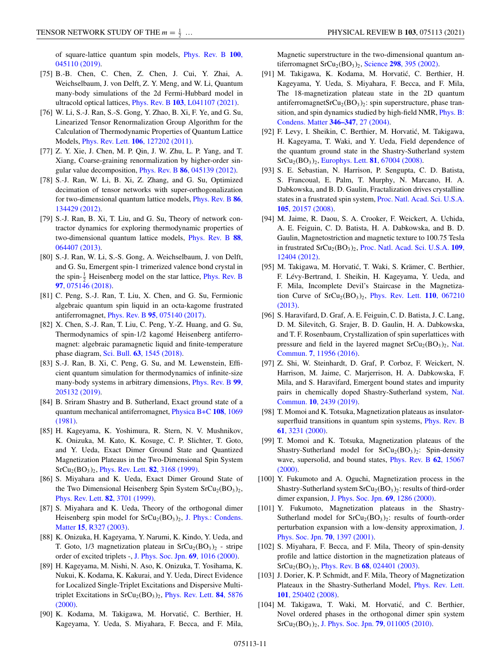<span id="page-11-0"></span>[of square-lattice quantum spin models,](https://doi.org/10.1103/PhysRevB.100.045110) Phys. Rev. B **100**, 045110 (2019).

- [75] B.-B. Chen, C. Chen, Z. Chen, J. Cui, Y. Zhai, A. Weichselbaum, J. von Delft, Z. Y. Meng, and W. Li, Quantum many-body simulations of the 2d Fermi-Hubbard model in ultracold optical lattices, Phys. Rev. B **103**[, L041107 \(2021\).](https://doi.org/10.1103/PhysRevB.103.L041107)
- [76] W. Li, S.-J. Ran, S.-S. Gong, Y. Zhao, B. Xi, F. Ye, and G. Su, Linearized Tensor Renormalization Group Algorithm for the Calculation of Thermodynamic Properties of Quantum Lattice Models, Phys. Rev. Lett. **106**[, 127202 \(2011\).](https://doi.org/10.1103/PhysRevLett.106.127202)
- [77] Z. Y. Xie, J. Chen, M. P. Qin, J. W. Zhu, L. P. Yang, and T. Xiang, Coarse-graining renormalization by higher-order singular value decomposition, Phys. Rev. B **86**[, 045139 \(2012\).](https://doi.org/10.1103/PhysRevB.86.045139)
- [78] S.-J. Ran, W. Li, B. Xi, Z. Zhang, and G. Su, Optimized decimation of tensor networks with super-orthogonalization [for two-dimensional quantum lattice models,](https://doi.org/10.1103/PhysRevB.86.134429) Phys. Rev. B **86**, 134429 (2012).
- [79] S.-J. Ran, B. Xi, T. Liu, and G. Su, Theory of network contractor dynamics for exploring thermodynamic properties of [two-dimensional quantum lattice models,](https://doi.org/10.1103/PhysRevB.88.064407) Phys. Rev. B **88**, 064407 (2013).
- [80] S.-J. Ran, W. Li, S.-S. Gong, A. Weichselbaum, J. von Delft, and G. Su, Emergent spin-1 trimerized valence bond crystal in the spin- $\frac{1}{2}$  [Heisenberg model on the star lattice,](https://doi.org/10.1103/PhysRevB.97.075146) Phys. Rev. B **97**, 075146 (2018).
- [81] C. Peng, S.-J. Ran, T. Liu, X. Chen, and G. Su, Fermionic algebraic quantum spin liquid in an octa-kagome frustrated antiferromagnet, Phys. Rev. B **95**[, 075140 \(2017\).](https://doi.org/10.1103/PhysRevB.95.075140)
- [82] X. Chen, S.-J. Ran, T. Liu, C. Peng, Y.-Z. Huang, and G. Su, Thermodynamics of spin-1/2 kagomé Heisenberg antiferromagnet: algebraic paramagnetic liquid and finite-temperature phase diagram, Sci. Bull. **63**[, 1545 \(2018\).](https://doi.org/10.1016/j.scib.2018.11.007)
- [83] S.-J. Ran, B. Xi, C. Peng, G. Su, and M. Lewenstein, Efficient quantum simulation for thermodynamics of infinite-size [many-body systems in arbitrary dimensions,](https://doi.org/10.1103/PhysRevB.99.205132) Phys. Rev. B **99**, 205132 (2019).
- [84] B. Sriram Shastry and B. Sutherland, Exact ground state of a [quantum mechanical antiferromagnet,](https://doi.org/10.1016/0378-4363(81)90838-X) Physica B+C **108**, 1069 (1981).
- [85] H. Kageyama, K. Yoshimura, R. Stern, N. V. Mushnikov, K. Onizuka, M. Kato, K. Kosuge, C. P. Slichter, T. Goto, and Y. Ueda, Exact Dimer Ground State and Quantized Magnetization Plateaus in the Two-Dimensional Spin System  $SrCu<sub>2</sub>(BO<sub>3</sub>)<sub>2</sub>$ , [Phys. Rev. Lett.](https://doi.org/10.1103/PhysRevLett.82.3168) **82**, 3168 (1999).
- [86] S. Miyahara and K. Ueda, Exact Dimer Ground State of the Two Dimensional Heisenberg Spin System  $SrCu<sub>2</sub>(BO<sub>3</sub>)<sub>2</sub>$ , [Phys. Rev. Lett.](https://doi.org/10.1103/PhysRevLett.82.3701) **82**, 3701 (1999).
- [87] S. Miyahara and K. Ueda, Theory of the orthogonal dimer Heisenberg spin model for  $SrCu<sub>2</sub>(BO<sub>3</sub>)<sub>2</sub>$ , J. Phys.: Condens. Matter **15**, R327 (2003).
- [88] K. Onizuka, H. Kageyama, Y. Narumi, K. Kindo, Y. Ueda, and T. Goto,  $1/3$  magnetization plateau in SrCu<sub>2</sub>(BO<sub>3</sub>)<sub>2</sub> - stripe order of excited triplets -, [J. Phys. Soc. Jpn.](https://doi.org/10.1143/JPSJ.69.1016) **69**, 1016 (2000).
- [89] H. Kageyama, M. Nishi, N. Aso, K. Onizuka, T. Yosihama, K. Nukui, K. Kodama, K. Kakurai, and Y. Ueda, Direct Evidence for Localized Single-Triplet Excitations and Dispersive Multitriplet Excitations in SrCu<sub>2</sub>(BO<sub>3</sub>)<sub>2</sub>, Phys. Rev. Lett. 84, 5876 (2000).
- [90] K. Kodama, M. Takigawa, M. Horvatić, C. Berthier, H. Kageyama, Y. Ueda, S. Miyahara, F. Becca, and F. Mila,

Magnetic superstructure in the two-dimensional quantum antiferromagnet SrCu<sub>2</sub>(BO<sub>3</sub>)<sub>2</sub>, Science **298**[, 395 \(2002\).](https://doi.org/10.1126/science.1075045)

- [91] M. Takigawa, K. Kodama, M. Horvatić, C. Berthier, H. Kageyama, Y. Ueda, S. Miyahara, F. Becca, and F. Mila, The 18-magnetization plateau state in the 2D quantum antiferromagnetSrCu<sub>2</sub>(BO<sub>3</sub>)<sub>2</sub>: spin superstructure, phase tran[sition, and spin dynamics studied by high-field NMR,](https://doi.org/10.1016/j.physb.2004.01.014) Phys. B: Condens. Matter **346–347**, 27 (2004).
- [92] F. Levy, I. Sheikin, C. Berthier, M. Horvatić, M. Takigawa, H. Kageyama, T. Waki, and Y. Ueda, Field dependence of the quantum ground state in the Shastry-Sutherland system SrCu2(BO3 )2, [Europhys. Lett.](https://doi.org/10.1209/0295-5075/81/67004) **81**, 67004 (2008).
- [93] S. E. Sebastian, N. Harrison, P. Sengupta, C. D. Batista, S. Francoual, E. Palm, T. Murphy, N. Marcano, H. A. Dabkowska, and B. D. Gaulin, Fractalization drives crystalline [states in a frustrated spin system,](https://doi.org/10.1073/pnas.0804320105) Proc. Natl. Acad. Sci. U.S.A. **105**, 20157 (2008).
- [94] M. Jaime, R. Daou, S. A. Crooker, F. Weickert, A. Uchida, A. E. Feiguin, C. D. Batista, H. A. Dabkowska, and B. D. Gaulin, Magnetostriction and magnetic texture to 100.75 Tesla in frustrated SrCu<sub>2</sub>(BO<sub>3</sub>)<sub>2</sub>, [Proc. Natl. Acad. Sci. U.S.A.](https://doi.org/10.1073/pnas.1200743109) 109, 12404 (2012).
- [95] M. Takigawa, M. Horvatić, T. Waki, S. Krämer, C. Berthier, F. Lévy-Bertrand, I. Sheikin, H. Kageyama, Y. Ueda, and F. Mila, Incomplete Devil's Staircase in the Magnetization Curve of  $SrCu<sub>2</sub>(BO<sub>3</sub>)<sub>2</sub>$ , *Phys. Rev. Lett.* **110**, 067210 (2013).
- [96] S. Haravifard, D. Graf, A. E. Feiguin, C. D. Batista, J. C. Lang, D. M. Silevitch, G. Srajer, B. D. Gaulin, H. A. Dabkowska, and T. F. Rosenbaum, Crystallization of spin superlattices with pressure and field in the layered magnet  $SrCu<sub>2</sub>(BO<sub>3</sub>)<sub>2</sub>$ , Nat. Commun. **7**, 11956 (2016).
- [97] Z. Shi, W. Steinhardt, D. Graf, P. Corboz, F. Weickert, N. Harrison, M. Jaime, C. Marjerrison, H. A. Dabkowska, F. Mila, and S. Haravifard, Emergent bound states and impurity [pairs in chemically doped Shastry-Sutherland system,](https://doi.org/10.1038/s41467-019-10410-x) Nat. Commun. **10**, 2439 (2019).
- [98] T. Momoi and K. Totsuka, Magnetization plateaus as insulator[superfluid transitions in quantum spin systems,](https://doi.org/10.1103/PhysRevB.61.3231) Phys. Rev. B **61**, 3231 (2000).
- [99] T. Momoi and K. Totsuka, Magnetization plateaus of the Shastry-Sutherland model for  $SrCu<sub>2</sub>(BO<sub>3</sub>)<sub>2</sub>$ : Spin-density [wave, supersolid, and bound states,](https://doi.org/10.1103/PhysRevB.62.15067) Phys. Rev. B **62**, 15067 (2000).
- [100] Y. Fukumoto and A. Oguchi, Magnetization process in the Shastry-Sutherland system  $SrCu<sub>2</sub>(BO<sub>3</sub>)<sub>2</sub>$ : results of third-order dimer expansion, [J. Phys. Soc. Jpn.](https://doi.org/10.1143/JPSJ.69.1286) **69**, 1286 (2000).
- [101] Y. Fukumoto, Magnetization plateaus in the Shastry-Sutherland model for  $SrCu<sub>2</sub>(BO<sub>3</sub>)<sub>2</sub>$ : results of fourth-order [perturbation expansion with a low-density approximation,](https://doi.org/10.1143/JPSJ.70.1397) J. Phys. Soc. Jpn. **70**, 1397 (2001).
- [102] S. Miyahara, F. Becca, and F. Mila, Theory of spin-density profile and lattice distortion in the magnetization plateaus of SrCu2(BO3 )2, Phys. Rev. B **68**[, 024401 \(2003\).](https://doi.org/10.1103/PhysRevB.68.024401)
- [103] J. Dorier, K. P. Schmidt, and F. Mila, Theory of Magnetization [Plateaux in the Shastry-Sutherland Model,](https://doi.org/10.1103/PhysRevLett.101.250402) Phys. Rev. Lett. **101**, 250402 (2008).
- [104] M. Takigawa, T. Waki, M. Horvatić, and C. Berthier, Novel ordered phases in the orthogonal dimer spin system SrCu<sub>2</sub>(BO<sub>3</sub>)<sub>2</sub>, [J. Phys. Soc. Jpn.](https://doi.org/10.1143/JPSJ.79.011005) **79**, 011005 (2010).